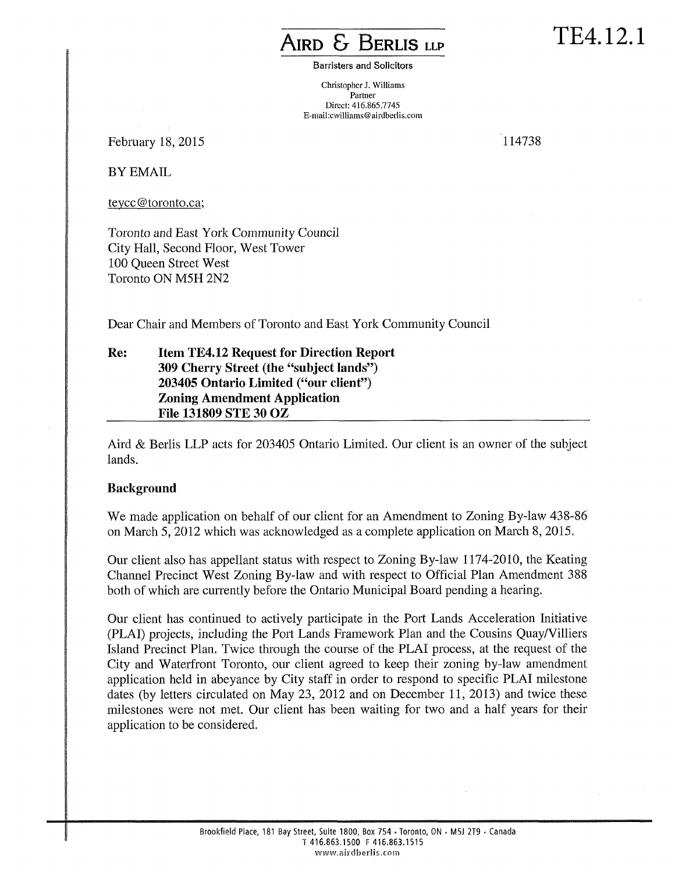## **AIRD & BERLIS LLP**

TE4.12.1

Barristers and Solicitors

Christopher J. Williams Partner Direct: 416.865.7745 E-mail:cwilliams@airdberlis.com

February 18, 2015 114738

BY EMAIL

[teycc@toronto.ca;](mailto:tevcc@toronto.ca) 

Toronto and East York Community Council City Hall, Second Floor, West Tower 100 Queen Street West Toronto ON M5H 2N2

Dear Chair and Members of Toronto and East York Community Council

**Re: Item TE4.12 Request for Direction Report 309 Cherry Street (the "subject lands") 203405 Ontario Limited ("our client") Zoning Amendment Application File 131809 STE 30 OZ** 

Aird & Berlis LLP acts for 203405 Ontario Limited. Our client is an owner of the subject lands.

## **Background**

We made application on behalf of our client for an Amendment to Zoning By-law 438-86 on March 5, 2012 which was acknowledged as a complete application on March 8, 2015.

Our client also has appellant status with respect to Zoning By-law 1174-2010, the Keating Channel Precinct West Zoning By-law and with respect to Official Plan Amendment 388 both of which are currently before the Ontario Municipal Board pending a hearing.

Our client has continued to actively participate in the Port Lands Acceleration Initiative (PLAI) projects, including the Port Lands Framework Plan and the Cousins Quay/Villiers Island Precinct Plan. Twice through the course of the PLAI process, at the request of the City and Waterfront Toronto, our client agreed to keep their zoning by-law amendment application held in abeyance by City staff in order to respond to specific PLAI milestone dates (by letters circulated on May 23, 2012 and on December 11, 2013) and twice these milestones were not met. Our client has been waiting for two and a half years for their application to be considered.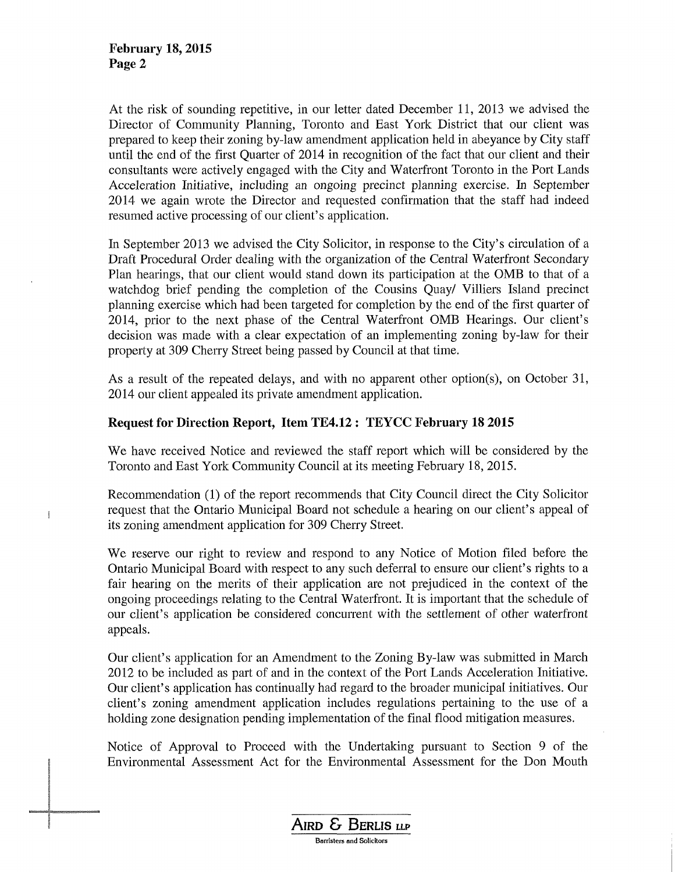j

At the risk of sounding repetitive, in our letter dated December 11, 2013 we advised the Director of Community Planning, Toronto and East York District that our client was prepared to keep their zoning by-law amendment application held in abeyance by City staff until the end of the first Quarter of 2014 in recognition of the fact that our client and their consultants were actively engaged with the City and Waterfront Toronto in the Port Lands Acceleration Initiative, including an ongoing precinct planning exercise. In September 2014 we again wrote the Director and requested confirmation that the staff had indeed resumed active processing of our client's application.

In September 2013 we advised the City Solicitor, in response to the City's circulation of a Draft Procedural Order dealing with the organization of the Central Waterfront Secondary Plan hearings, that our client would stand down its participation at the OMB to that of a watchdog brief pending the completion of the Cousins Quay/ Villiers Island precinct planning exercise which had been targeted for completion by the end of the first quarter of 2014, prior to the next phase of the Central Waterfront OMB Hearings. Our client's decision was made with a clear expectation of an implementing zoning by-law for their property at 309 Cherry Street being passed by Council at that time.

As a result of the repeated delays, and with no apparent other option(s), on October 31, 2014 our client appealed its private amendment application.

## **Request for Direction Report, Item TE4.12 : TEYCC February 18 2015**

We have received Notice and reviewed the staff report which will be considered by the Toronto and East York Community Council at its meeting February 18, 2015.

Recommendation (1) of the report recommends that City Council direct the City Solicitor request that the Ontario Municipal Board not schedule a hearing on our client's appeal of its zoning amendment application for 309 Cherry Street.

We reserve our right to review and respond to any Notice of Motion filed before the Ontario Municipal Board with respect to any such deferral to ensure our client's rights to a fair hearing on the merits of their application are not prejudiced in the context of the ongoing proceedings relating to the Central Waterfront. It is important that the schedule of our client's application be considered concurrent with the settlement of other waterfront appeals.

Our client's application for an Amendment to the Zoning By-law was submitted in March 2012 to be included as part of and in the context of the Port Lands Acceleration Initiative. Our client's application has continually had regard to the broader municipal initiatives. Our client's zoning amendment application includes regulations pertaining to the use of a holding zone designation pending implementation of the final flood mitigation measures.

Notice of Approval to Proceed with the Undertaking pursuant to Section 9 of the Environmental Assessment Act for the Environmental Assessment for the Don Mouth